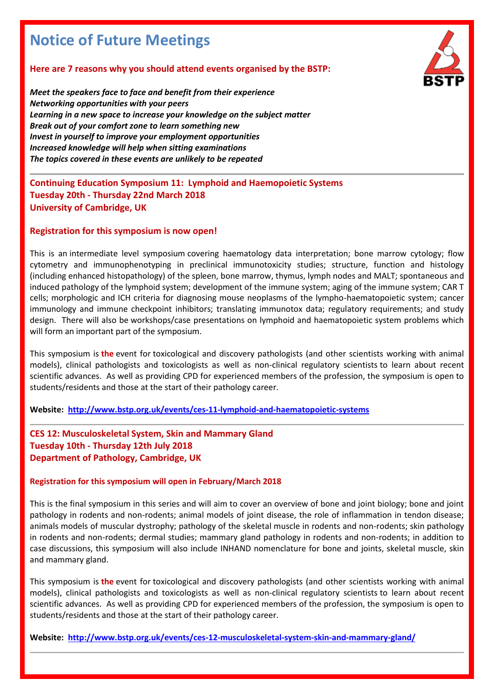# **Notice of Future Meetings**

## **Here are 7 reasons why you should attend events organised by the BSTP:**

*Meet the speakers face to face and benefit from their experience Networking opportunities with your peers Learning in a new space to increase your knowledge on the subject matter Break out of your comfort zone to learn something new Invest in yourself to improve your employment opportunities Increased knowledge will help when sitting examinations The topics covered in these events are unlikely to be repeated*

**Continuing Education Symposium 11: Lymphoid and Haemopoietic Systems Tuesday 20th - Thursday 22nd March 2018 University of Cambridge, UK**

#### **Registration for this symposium is now open!**

This is an intermediate level symposium covering haematology data interpretation; bone marrow cytology; flow cytometry and immunophenotyping in preclinical immunotoxicity studies; structure, function and histology (including enhanced histopathology) of the spleen, bone marrow, thymus, lymph nodes and MALT; spontaneous and induced pathology of the lymphoid system; development of the immune system; aging of the immune system; CAR T cells; morphologic and ICH criteria for diagnosing mouse neoplasms of the lympho-haematopoietic system; cancer immunology and immune checkpoint inhibitors; translating immunotox data; regulatory requirements; and study design. There will also be workshops/case presentations on lymphoid and haematopoietic system problems which will form an important part of the symposium.

This symposium is **the** event for toxicological and discovery pathologists (and other scientists working with animal models), clinical pathologists and toxicologists as well as non-clinical regulatory scientists to learn about recent scientific advances. As well as providing CPD for experienced members of the profession, the symposium is open to students/residents and those at the start of their pathology career.

**Website: <http://www.bstp.org.uk/events/ces-11-lymphoid-and-haematopoietic-systems>**

**CES 12: Musculoskeletal System, Skin and Mammary Gland Tuesday 10th - Thursday 12th July 2018 Department of Pathology, Cambridge, UK**

#### **Registration for this symposium will open in February/March 2018**

This is the final symposium in this series and will aim to cover an overview of bone and joint biology; bone and joint pathology in rodents and non-rodents; animal models of joint disease, the role of inflammation in tendon disease; animals models of muscular dystrophy; pathology of the skeletal muscle in rodents and non-rodents; skin pathology in rodents and non-rodents; dermal studies; mammary gland pathology in rodents and non-rodents; in addition to case discussions, this symposium will also include INHAND nomenclature for bone and joints, skeletal muscle, skin and mammary gland.

This symposium is **the** event for toxicological and discovery pathologists (and other scientists working with animal models), clinical pathologists and toxicologists as well as non-clinical regulatory scientists to learn about recent scientific advances. As well as providing CPD for experienced members of the profession, the symposium is open to students/residents and those at the start of their pathology career.

**Website: <http://www.bstp.org.uk/events/ces-12-musculoskeletal-system-skin-and-mammary-gland/>**